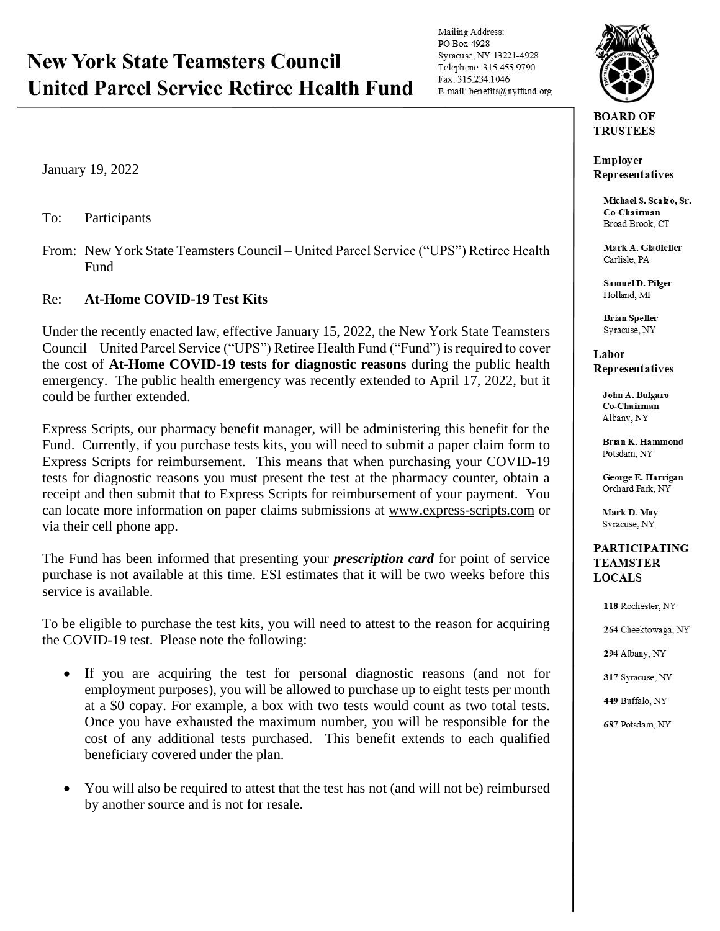## **New York State Teamsters Council United Parcel Service Retiree Health Fund**

Mailing Address: PO Box 4928 Syracuse, NY 13221-4928 Telephone: 315.455.9790 Fax: 315.234.1046 E-mail: benefits@nytfund.org



**TRUSTEES** 

**Employer** Representatives

> Michael S. Scako, Sr. Co-Chairman Broad Brook, CT

Mark A. Gladfelter Carlisle, PA

Samuel D. Pilger Holland, MI

**Brian Speller** Syracuse, NY

Labor Representatives

> John A. Bulgaro Co-Chairman Albany, NY

Brian K. Hammond Potsdam, NY

George E. Harrigan Orchard Park, NY

Mark D. May Syracuse, NY

## **PARTICIPATING TEAMSTER LOCALS**

118 Rochester, NY 264 Cheektowaga, NY 294 Albany, NY 317 Syracuse, NY 449 Buffalo, NY 687 Potsdam, NY

January 19, 2022

To: Participants

From: New York State Teamsters Council – United Parcel Service ("UPS") Retiree Health Fund

## Re: **At-Home COVID-19 Test Kits**

Under the recently enacted law, effective January 15, 2022, the New York State Teamsters Council – United Parcel Service ("UPS") Retiree Health Fund ("Fund") is required to cover the cost of **At-Home COVID-19 tests for diagnostic reasons** during the public health emergency. The public health emergency was recently extended to April 17, 2022, but it could be further extended.

Express Scripts, our pharmacy benefit manager, will be administering this benefit for the Fund. Currently, if you purchase tests kits, you will need to submit a paper claim form to Express Scripts for reimbursement. This means that when purchasing your COVID-19 tests for diagnostic reasons you must present the test at the pharmacy counter, obtain a receipt and then submit that to Express Scripts for reimbursement of your payment. You can locate more information on paper claims submissions at [www.express-scripts.com](http://www.express-scripts.com/) or via their cell phone app.

The Fund has been informed that presenting your *prescription card* for point of service purchase is not available at this time. ESI estimates that it will be two weeks before this service is available.

To be eligible to purchase the test kits, you will need to attest to the reason for acquiring the COVID-19 test. Please note the following:

- If you are acquiring the test for personal diagnostic reasons (and not for employment purposes), you will be allowed to purchase up to eight tests per month at a \$0 copay. For example, a box with two tests would count as two total tests. Once you have exhausted the maximum number, you will be responsible for the cost of any additional tests purchased. This benefit extends to each qualified beneficiary covered under the plan.
- You will also be required to attest that the test has not (and will not be) reimbursed by another source and is not for resale.